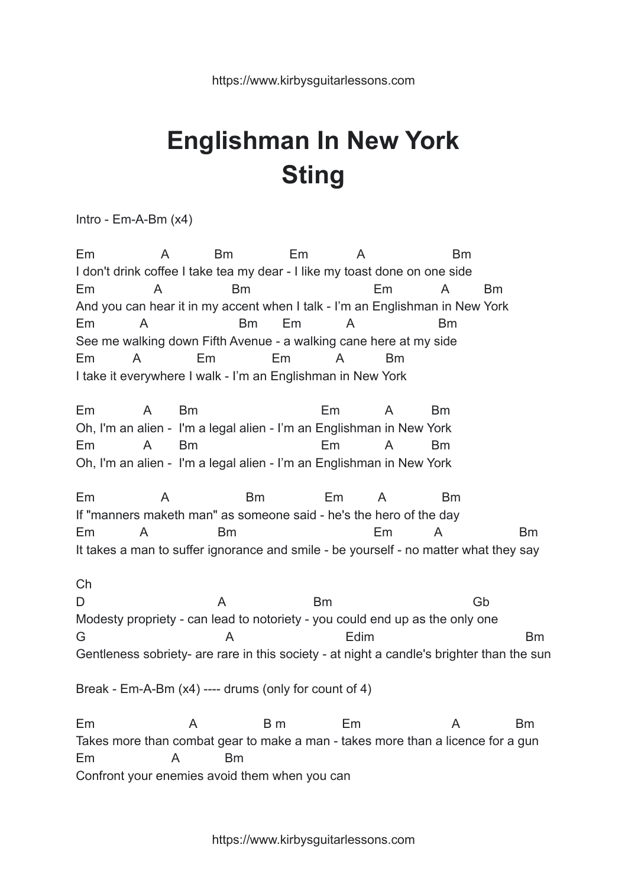## **Englishman In New York Sting**

Intro - Em-A-Bm (x4)

Em A Bm Em A Bm I don't drink coffee I take tea my dear - I like my toast done on one side Em A Bm Em A Bm And you can hear it in my accent when I talk - I'm an Englishman in New York Em A Bm Em A Bm See me walking down Fifth Avenue - a walking cane here at my side Em A Em Em A Bm I take it everywhere I walk - I'm an Englishman in New York

Em A Bm Em A Bm Oh, I'm an alien - I'm a legal alien - I'm an Englishman in New York Em A Bm Em A Bm Oh, I'm an alien - I'm a legal alien - I'm an Englishman in New York

Em A Bm Em A Bm If "manners maketh man" as someone said - he's the hero of the day Em A Bm Em A Bm It takes a man to suffer ignorance and smile - be yourself - no matter what they say

Ch D A Bm Gb Modesty propriety - can lead to notoriety - you could end up as the only one G A Bm Gentleness sobriety- are rare in this society - at night a candle's brighter than the sun

Break - Em-A-Bm (x4) ---- drums (only for count of 4)

Em A B m Em A Bm Takes more than combat gear to make a man - takes more than a licence for a gun Em A Bm Confront your enemies avoid them when you can